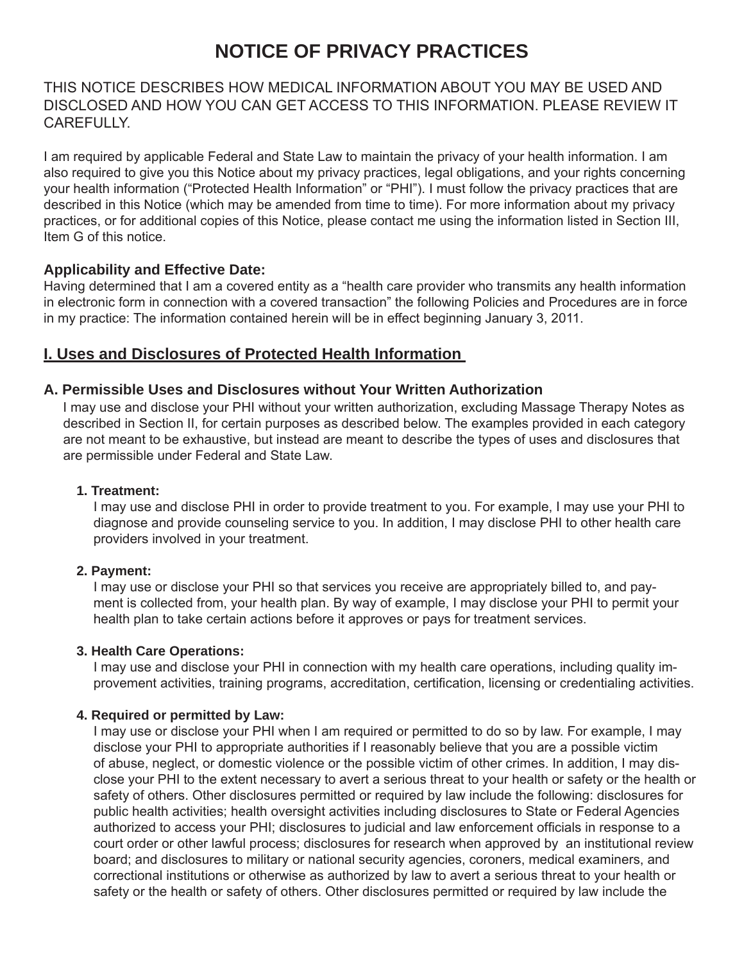# **NOTICE OF PRIVACY PRACTICES**

# THIS NOTICE DESCRIBES HOW MEDICAL INFORMATION ABOUT YOU MAY BE USED AND DISCLOSED AND HOW YOU CAN GET ACCESS TO THIS INFORMATION. PLEASE REVIEW IT **CAREFULLY**

I am required by applicable Federal and State Law to maintain the privacy of your health information. I am also required to give you this Notice about my privacy practices, legal obligations, and your rights concerning your health information ("Protected Health Information" or "PHI"). I must follow the privacy practices that are described in this Notice (which may be amended from time to time). For more information about my privacy practices, or for additional copies of this Notice, please contact me using the information listed in Section III, Item G of this notice.

# **Applicability and Effective Date:**

Having determined that I am a covered entity as a "health care provider who transmits any health information in electronic form in connection with a covered transaction" the following Policies and Procedures are in force in my practice: The information contained herein will be in effect beginning January 3, 2011.

# **I. Uses and Disclosures of Protected Health Information**

# **A. Permissible Uses and Disclosures without Your Written Authorization**

I may use and disclose your PHI without your written authorization, excluding Massage Therapy Notes as described in Section II, for certain purposes as described below. The examples provided in each category are not meant to be exhaustive, but instead are meant to describe the types of uses and disclosures that are permissible under Federal and State Law.

# **1. Treatment:**

 I may use and disclose PHI in order to provide treatment to you. For example, I may use your PHI to diagnose and provide counseling service to you. In addition, I may disclose PHI to other health care providers involved in your treatment.

#### **2. Payment:**

 I may use or disclose your PHI so that services you receive are appropriately billed to, and pay ment is collected from, your health plan. By way of example, I may disclose your PHI to permit your health plan to take certain actions before it approves or pays for treatment services.

#### **3. Health Care Operations:**

 I may use and disclose your PHI in connection with my health care operations, including quality im provement activities, training programs, accreditation, certification, licensing or credentialing activities.

# **4. Required or permitted by Law:**

 I may use or disclose your PHI when I am required or permitted to do so by law. For example, I may disclose your PHI to appropriate authorities if I reasonably believe that you are a possible victim of abuse, neglect, or domestic violence or the possible victim of other crimes. In addition, I may dis close your PHI to the extent necessary to avert a serious threat to your health or safety or the health or safety of others. Other disclosures permitted or required by law include the following: disclosures for public health activities; health oversight activities including disclosures to State or Federal Agencies authorized to access your PHI; disclosures to judicial and law enforcement officials in response to a court order or other lawful process; disclosures for research when approved by an institutional review board; and disclosures to military or national security agencies, coroners, medical examiners, and correctional institutions or otherwise as authorized by law to avert a serious threat to your health or safety or the health or safety of others. Other disclosures permitted or required by law include the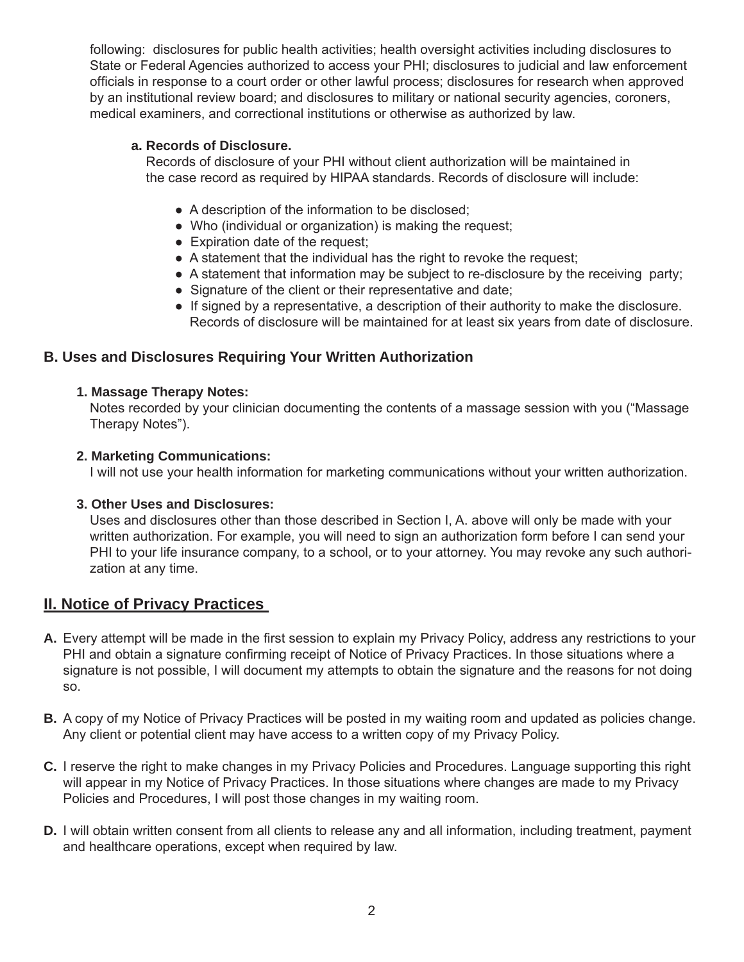following: disclosures for public health activities; health oversight activities including disclosures to State or Federal Agencies authorized to access your PHI; disclosures to judicial and law enforcement officials in response to a court order or other lawful process; disclosures for research when approved by an institutional review board; and disclosures to military or national security agencies, coroners, medical examiners, and correctional institutions or otherwise as authorized by law.

#### **a. Records of Disclosure.**

 Records of disclosure of your PHI without client authorization will be maintained in the case record as required by HIPAA standards. Records of disclosure will include:

- A description of the information to be disclosed;
- Who (individual or organization) is making the request;
- Expiration date of the request:
- A statement that the individual has the right to revoke the request;
- A statement that information may be subject to re-disclosure by the receiving party;
- Signature of the client or their representative and date;
- If signed by a representative, a description of their authority to make the disclosure. Records of disclosure will be maintained for at least six years from date of disclosure.

# **B. Uses and Disclosures Requiring Your Written Authorization**

# **1. Massage Therapy Notes:**

 Notes recorded by your clinician documenting the contents of a massage session with you ("Massage Therapy Notes").

# **2. Marketing Communications:**

I will not use your health information for marketing communications without your written authorization.

# **3. Other Uses and Disclosures:**

 Uses and disclosures other than those described in Section I, A. above will only be made with your written authorization. For example, you will need to sign an authorization form before I can send your PHI to your life insurance company, to a school, or to your attorney. You may revoke any such authori zation at any time.

# **II. Notice of Privacy Practices**

- A. Every attempt will be made in the first session to explain my Privacy Policy, address any restrictions to your PHI and obtain a signature confirming receipt of Notice of Privacy Practices. In those situations where a signature is not possible, I will document my attempts to obtain the signature and the reasons for not doing so.
- **B.** A copy of my Notice of Privacy Practices will be posted in my waiting room and updated as policies change. Any client or potential client may have access to a written copy of my Privacy Policy.
- **C.** I reserve the right to make changes in my Privacy Policies and Procedures. Language supporting this right will appear in my Notice of Privacy Practices. In those situations where changes are made to my Privacy Policies and Procedures, I will post those changes in my waiting room.
- **D.** I will obtain written consent from all clients to release any and all information, including treatment, payment and healthcare operations, except when required by law.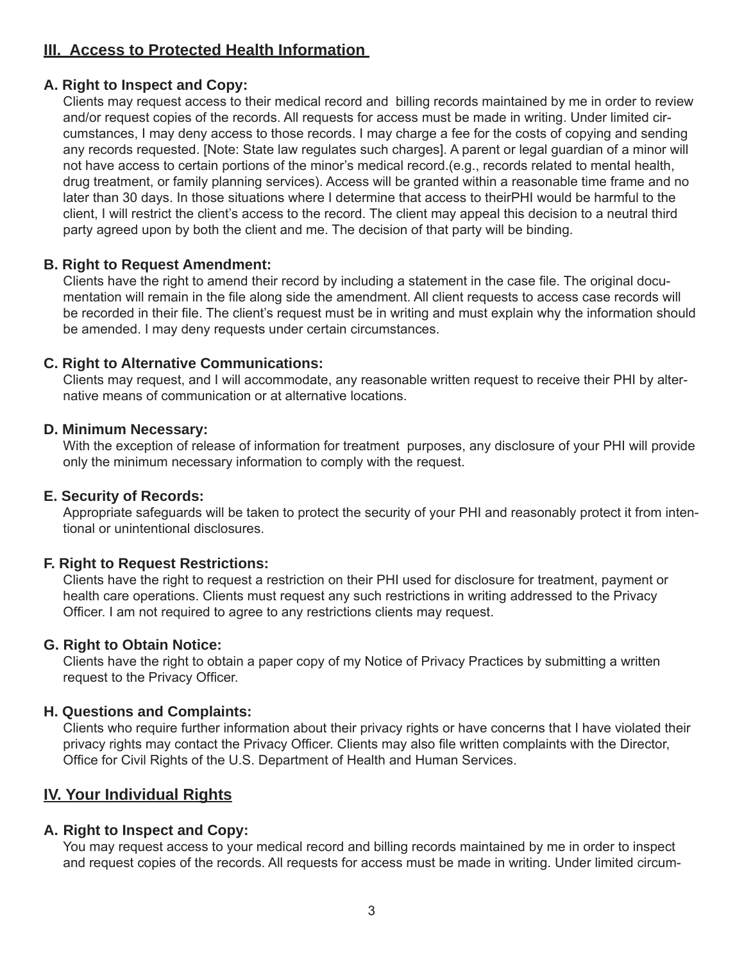# **III. Access to Protected Health Information**

# **A. Right to Inspect and Copy:**

 Clients may request access to their medical record and billing records maintained by me in order to review and/or request copies of the records. All requests for access must be made in writing. Under limited cir cumstances, I may deny access to those records. I may charge a fee for the costs of copying and sending any records requested. [Note: State law regulates such charges]. A parent or legal guardian of a minor will not have access to certain portions of the minor's medical record.(e.g., records related to mental health, drug treatment, or family planning services). Access will be granted within a reasonable time frame and no later than 30 days. In those situations where I determine that access to theirPHI would be harmful to the client, I will restrict the client's access to the record. The client may appeal this decision to a neutral third party agreed upon by both the client and me. The decision of that party will be binding.

# **B. Right to Request Amendment:**

Clients have the right to amend their record by including a statement in the case file. The original documentation will remain in the file along side the amendment. All client requests to access case records will be recorded in their file. The client's request must be in writing and must explain why the information should be amended. I may deny requests under certain circumstances.

#### **C. Right to Alternative Communications:**

 Clients may request, and I will accommodate, any reasonable written request to receive their PHI by alter native means of communication or at alternative locations.

#### **D. Minimum Necessary:**

 With the exception of release of information for treatment purposes, any disclosure of your PHI will provide only the minimum necessary information to comply with the request.

# **E. Security of Records:**

 Appropriate safeguards will be taken to protect the security of your PHI and reasonably protect it from inten tional or unintentional disclosures.

#### **F. Right to Request Restrictions:**

 Clients have the right to request a restriction on their PHI used for disclosure for treatment, payment or health care operations. Clients must request any such restrictions in writing addressed to the Privacy Officer. I am not required to agree to any restrictions clients may request.

#### **G. Right to Obtain Notice:**

 Clients have the right to obtain a paper copy of my Notice of Privacy Practices by submitting a written request to the Privacy Officer.

# **H. Questions and Complaints:**

 Clients who require further information about their privacy rights or have concerns that I have violated their privacy rights may contact the Privacy Officer. Clients may also file written complaints with the Director, Office for Civil Rights of the U.S. Department of Health and Human Services.

# **IV. Your Individual Rights**

# **A. Right to Inspect and Copy:**

 You may request access to your medical record and billing records maintained by me in order to inspect and request copies of the records. All requests for access must be made in writing. Under limited circum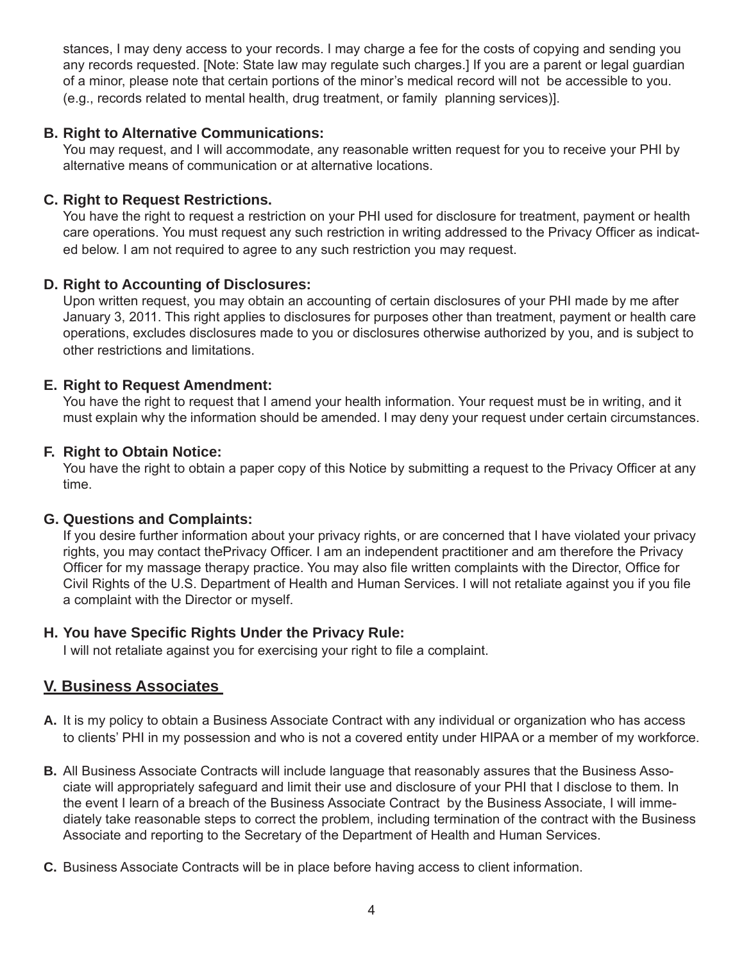stances, I may deny access to your records. I may charge a fee for the costs of copying and sending you any records requested. [Note: State law may regulate such charges.] If you are a parent or legal guardian of a minor, please note that certain portions of the minor's medical record will not be accessible to you. (e.g., records related to mental health, drug treatment, or family planning services)].

# **B. Right to Alternative Communications:**

 You may request, and I will accommodate, any reasonable written request for you to receive your PHI by alternative means of communication or at alternative locations.

# **C. Right to Request Restrictions.**

 You have the right to request a restriction on your PHI used for disclosure for treatment, payment or health care operations. You must request any such restriction in writing addressed to the Privacy Officer as indicated below. I am not required to agree to any such restriction you may request.

# **D. Right to Accounting of Disclosures:**

 Upon written request, you may obtain an accounting of certain disclosures of your PHI made by me after January 3, 2011. This right applies to disclosures for purposes other than treatment, payment or health care operations, excludes disclosures made to you or disclosures otherwise authorized by you, and is subject to other restrictions and limitations.

# **E. Right to Request Amendment:**

 You have the right to request that I amend your health information. Your request must be in writing, and it must explain why the information should be amended. I may deny your request under certain circumstances.

# **F. Right to Obtain Notice:**

You have the right to obtain a paper copy of this Notice by submitting a request to the Privacy Officer at any time.

# **G. Questions and Complaints:**

 If you desire further information about your privacy rights, or are concerned that I have violated your privacy rights, you may contact thePrivacy Officer. I am an independent practitioner and am therefore the Privacy Officer for my massage therapy practice. You may also file written complaints with the Director, Office for Civil Rights of the U.S. Department of Health and Human Services. I will not retaliate against you if you file a complaint with the Director or myself.

# **H. You have Specifi c Rights Under the Privacy Rule:**

I will not retaliate against you for exercising your right to file a complaint.

# **V. Business Associates**

- **A.** It is my policy to obtain a Business Associate Contract with any individual or organization who has access to clients' PHI in my possession and who is not a covered entity under HIPAA or a member of my workforce.
- **B.** All Business Associate Contracts will include language that reasonably assures that the Business Asso ciate will appropriately safeguard and limit their use and disclosure of your PHI that I disclose to them. In the event I learn of a breach of the Business Associate Contract by the Business Associate, I will imme diately take reasonable steps to correct the problem, including termination of the contract with the Business Associate and reporting to the Secretary of the Department of Health and Human Services.
- **C.** Business Associate Contracts will be in place before having access to client information.